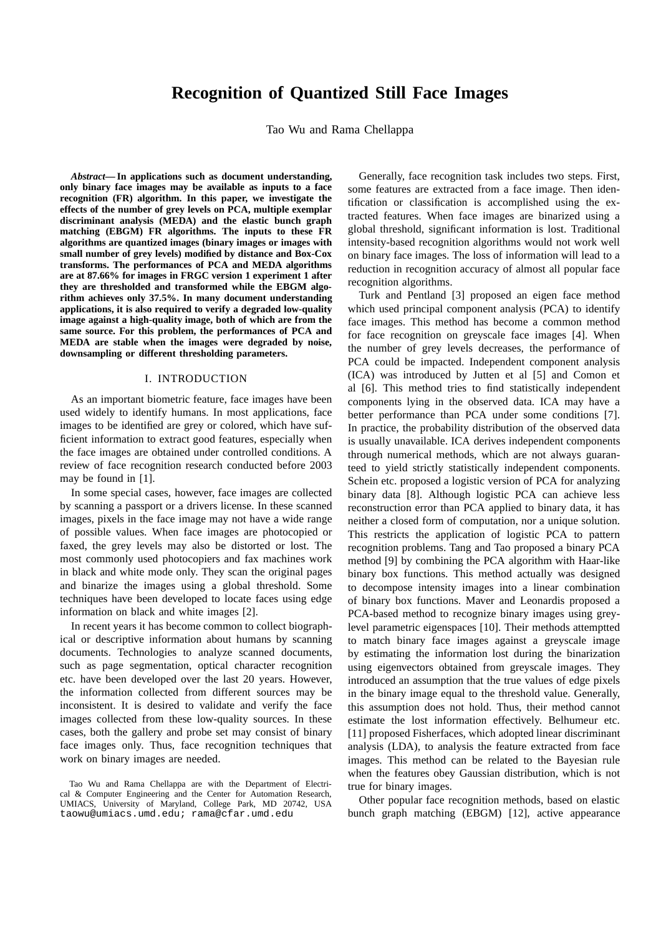# **Recognition of Quantized Still Face Images**

Tao Wu and Rama Chellappa

*Abstract***— In applications such as document understanding, only binary face images may be available as inputs to a face recognition (FR) algorithm. In this paper, we investigate the effects of the number of grey levels on PCA, multiple exemplar discriminant analysis (MEDA) and the elastic bunch graph matching (EBGM) FR algorithms. The inputs to these FR algorithms are quantized images (binary images or images with small number of grey levels) modified by distance and Box-Cox transforms. The performances of PCA and MEDA algorithms are at 87.66% for images in FRGC version 1 experiment 1 after they are thresholded and transformed while the EBGM algorithm achieves only 37.5%. In many document understanding applications, it is also required to verify a degraded low-quality image against a high-quality image, both of which are from the same source. For this problem, the performances of PCA and MEDA are stable when the images were degraded by noise, downsampling or different thresholding parameters.**

### I. INTRODUCTION

As an important biometric feature, face images have been used widely to identify humans. In most applications, face images to be identified are grey or colored, which have sufficient information to extract good features, especially when the face images are obtained under controlled conditions. A review of face recognition research conducted before 2003 may be found in [1].

In some special cases, however, face images are collected by scanning a passport or a drivers license. In these scanned images, pixels in the face image may not have a wide range of possible values. When face images are photocopied or faxed, the grey levels may also be distorted or lost. The most commonly used photocopiers and fax machines work in black and white mode only. They scan the original pages and binarize the images using a global threshold. Some techniques have been developed to locate faces using edge information on black and white images [2].

In recent years it has become common to collect biographical or descriptive information about humans by scanning documents. Technologies to analyze scanned documents, such as page segmentation, optical character recognition etc. have been developed over the last 20 years. However, the information collected from different sources may be inconsistent. It is desired to validate and verify the face images collected from these low-quality sources. In these cases, both the gallery and probe set may consist of binary face images only. Thus, face recognition techniques that work on binary images are needed.

Generally, face recognition task includes two steps. First, some features are extracted from a face image. Then identification or classification is accomplished using the extracted features. When face images are binarized using a global threshold, significant information is lost. Traditional intensity-based recognition algorithms would not work well on binary face images. The loss of information will lead to a reduction in recognition accuracy of almost all popular face recognition algorithms.

Turk and Pentland [3] proposed an eigen face method which used principal component analysis (PCA) to identify face images. This method has become a common method for face recognition on greyscale face images [4]. When the number of grey levels decreases, the performance of PCA could be impacted. Independent component analysis (ICA) was introduced by Jutten et al [5] and Comon et al [6]. This method tries to find statistically independent components lying in the observed data. ICA may have a better performance than PCA under some conditions [7]. In practice, the probability distribution of the observed data is usually unavailable. ICA derives independent components through numerical methods, which are not always guaranteed to yield strictly statistically independent components. Schein etc. proposed a logistic version of PCA for analyzing binary data [8]. Although logistic PCA can achieve less reconstruction error than PCA applied to binary data, it has neither a closed form of computation, nor a unique solution. This restricts the application of logistic PCA to pattern recognition problems. Tang and Tao proposed a binary PCA method [9] by combining the PCA algorithm with Haar-like binary box functions. This method actually was designed to decompose intensity images into a linear combination of binary box functions. Maver and Leonardis proposed a PCA-based method to recognize binary images using greylevel parametric eigenspaces [10]. Their methods attemptted to match binary face images against a greyscale image by estimating the information lost during the binarization using eigenvectors obtained from greyscale images. They introduced an assumption that the true values of edge pixels in the binary image equal to the threshold value. Generally, this assumption does not hold. Thus, their method cannot estimate the lost information effectively. Belhumeur etc. [11] proposed Fisherfaces, which adopted linear discriminant analysis (LDA), to analysis the feature extracted from face images. This method can be related to the Bayesian rule when the features obey Gaussian distribution, which is not true for binary images.

Other popular face recognition methods, based on elastic bunch graph matching (EBGM) [12], active appearance

Tao Wu and Rama Chellappa are with the Department of Electrical & Computer Engineering and the Center for Automation Research, UMIACS, University of Maryland, College Park, MD 20742, USA taowu@umiacs.umd.edu; rama@cfar.umd.edu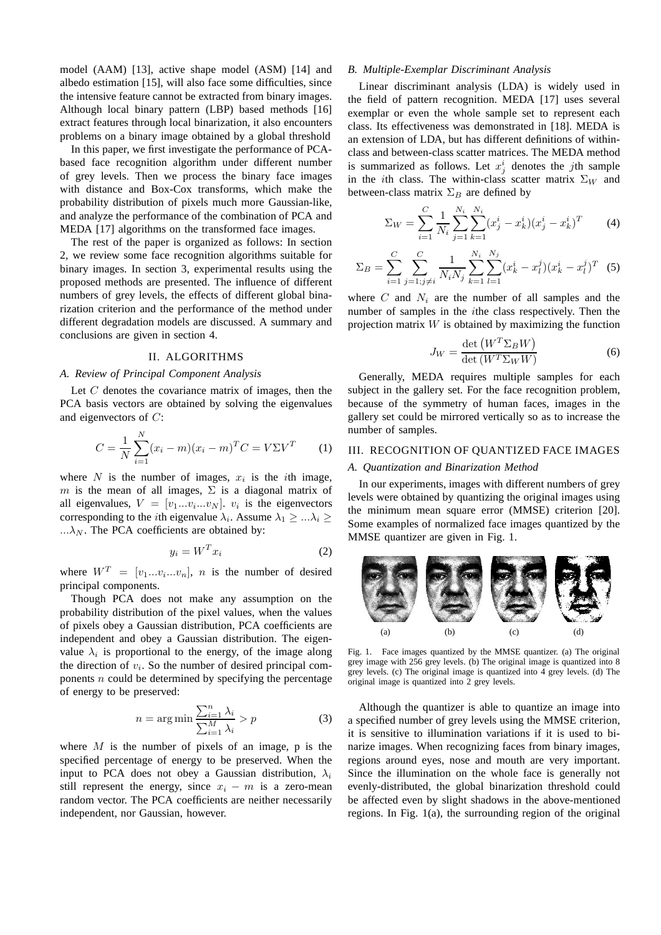model (AAM) [13], active shape model (ASM) [14] and albedo estimation [15], will also face some difficulties, since the intensive feature cannot be extracted from binary images. Although local binary pattern (LBP) based methods [16] extract features through local binarization, it also encounters problems on a binary image obtained by a global threshold

In this paper, we first investigate the performance of PCAbased face recognition algorithm under different number of grey levels. Then we process the binary face images with distance and Box-Cox transforms, which make the probability distribution of pixels much more Gaussian-like, and analyze the performance of the combination of PCA and MEDA [17] algorithms on the transformed face images.

The rest of the paper is organized as follows: In section 2, we review some face recognition algorithms suitable for binary images. In section 3, experimental results using the proposed methods are presented. The influence of different numbers of grey levels, the effects of different global binarization criterion and the performance of the method under different degradation models are discussed. A summary and conclusions are given in section 4.

# II. ALGORITHMS

#### *A. Review of Principal Component Analysis*

Let  $C$  denotes the covariance matrix of images, then the PCA basis vectors are obtained by solving the eigenvalues and eigenvectors of C:

$$
C = \frac{1}{N} \sum_{i=1}^{N} (x_i - m)(x_i - m)^T C = V \Sigma V^T
$$
 (1)

where N is the number of images,  $x_i$  is the *i*th image, m is the mean of all images,  $\Sigma$  is a diagonal matrix of all eigenvalues,  $V = [v_1...v_i...v_N]$ .  $v_i$  is the eigenvectors corresponding to the *i*th eigenvalue  $\lambda_i$ . Assume  $\lambda_1 \geq ... \lambda_i \geq$ ... $\lambda_N$ . The PCA coefficients are obtained by:

$$
y_i = W^T x_i \tag{2}
$$

where  $W^T = [v_1...v_i...v_n]$ , *n* is the number of desired principal components.

Though PCA does not make any assumption on the probability distribution of the pixel values, when the values of pixels obey a Gaussian distribution, PCA coefficients are independent and obey a Gaussian distribution. The eigenvalue  $\lambda_i$  is proportional to the energy, of the image along the direction of  $v_i$ . So the number of desired principal components  $n$  could be determined by specifying the percentage of energy to be preserved:

$$
n = \arg\min \frac{\sum_{i=1}^{n} \lambda_i}{\sum_{i=1}^{M} \lambda_i} > p
$$
\n(3)

where  $M$  is the number of pixels of an image, p is the specified percentage of energy to be preserved. When the input to PCA does not obey a Gaussian distribution,  $\lambda_i$ still represent the energy, since  $x_i - m$  is a zero-mean random vector. The PCA coefficients are neither necessarily independent, nor Gaussian, however.

# *B. Multiple-Exemplar Discriminant Analysis*

Linear discriminant analysis (LDA) is widely used in the field of pattern recognition. MEDA [17] uses several exemplar or even the whole sample set to represent each class. Its effectiveness was demonstrated in [18]. MEDA is an extension of LDA, but has different definitions of withinclass and between-class scatter matrices. The MEDA method is summarized as follows. Let  $x_j^i$  denotes the *j*th sample in the *i*th class. The within-class scatter matrix  $\Sigma_W$  and between-class matrix  $\Sigma_B$  are defined by

$$
\Sigma_W = \sum_{i=1}^C \frac{1}{N_i} \sum_{j=1}^{N_i} \sum_{k=1}^{N_i} (x_j^i - x_k^i)(x_j^i - x_k^i)^T
$$
 (4)

$$
\Sigma_B = \sum_{i=1}^C \sum_{j=1; j \neq i}^C \frac{1}{N_i N_j} \sum_{k=1}^{N_i} \sum_{l=1}^{N_j} (x_k^i - x_l^j)(x_k^i - x_l^j)^T
$$
 (5)

where C and  $N_i$  are the number of all samples and the number of samples in the ithe class respectively. Then the projection matrix  $W$  is obtained by maximizing the function

$$
J_W = \frac{\det (W^T \Sigma_B W)}{\det (W^T \Sigma_W W)}\tag{6}
$$

Generally, MEDA requires multiple samples for each subject in the gallery set. For the face recognition problem, because of the symmetry of human faces, images in the gallery set could be mirrored vertically so as to increase the number of samples.

## III. RECOGNITION OF QUANTIZED FACE IMAGES

#### *A. Quantization and Binarization Method*

In our experiments, images with different numbers of grey levels were obtained by quantizing the original images using the minimum mean square error (MMSE) criterion [20]. Some examples of normalized face images quantized by the MMSE quantizer are given in Fig. 1.



Fig. 1. Face images quantized by the MMSE quantizer. (a) The original grey image with 256 grey levels. (b) The original image is quantized into 8 grey levels. (c) The original image is quantized into 4 grey levels. (d) The original image is quantized into 2 grey levels.

Although the quantizer is able to quantize an image into a specified number of grey levels using the MMSE criterion, it is sensitive to illumination variations if it is used to binarize images. When recognizing faces from binary images, regions around eyes, nose and mouth are very important. Since the illumination on the whole face is generally not evenly-distributed, the global binarization threshold could be affected even by slight shadows in the above-mentioned regions. In Fig. 1(a), the surrounding region of the original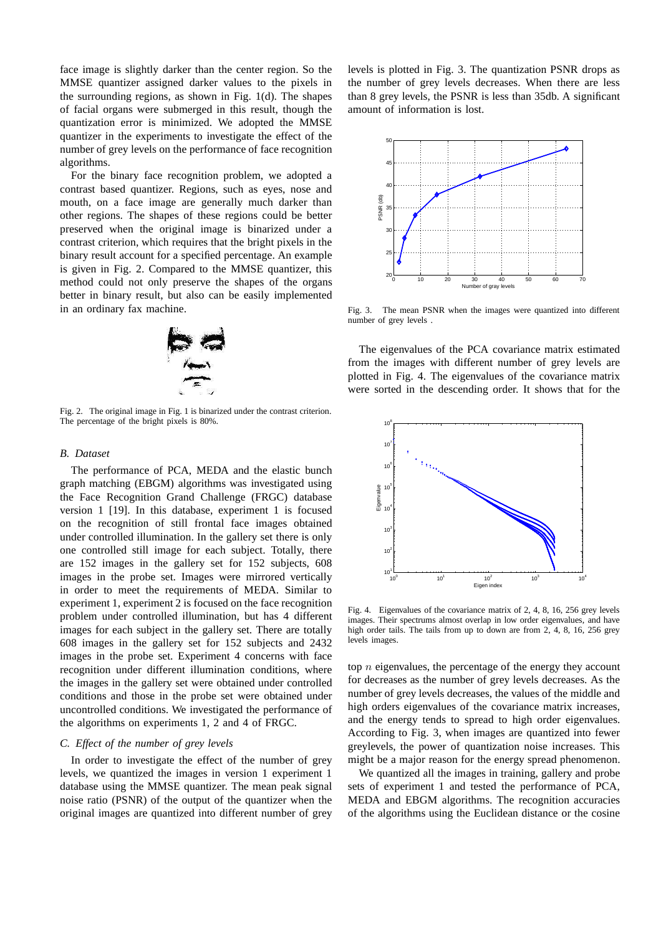face image is slightly darker than the center region. So the MMSE quantizer assigned darker values to the pixels in the surrounding regions, as shown in Fig. 1(d). The shapes of facial organs were submerged in this result, though the quantization error is minimized. We adopted the MMSE quantizer in the experiments to investigate the effect of the number of grey levels on the performance of face recognition algorithms.

For the binary face recognition problem, we adopted a contrast based quantizer. Regions, such as eyes, nose and mouth, on a face image are generally much darker than other regions. The shapes of these regions could be better preserved when the original image is binarized under a contrast criterion, which requires that the bright pixels in the binary result account for a specified percentage. An example is given in Fig. 2. Compared to the MMSE quantizer, this method could not only preserve the shapes of the organs better in binary result, but also can be easily implemented in an ordinary fax machine.



Fig. 2. The original image in Fig. 1 is binarized under the contrast criterion. The percentage of the bright pixels is 80%.

#### *B. Dataset*

The performance of PCA, MEDA and the elastic bunch graph matching (EBGM) algorithms was investigated using the Face Recognition Grand Challenge (FRGC) database version 1 [19]. In this database, experiment 1 is focused on the recognition of still frontal face images obtained under controlled illumination. In the gallery set there is only one controlled still image for each subject. Totally, there are 152 images in the gallery set for 152 subjects, 608 images in the probe set. Images were mirrored vertically in order to meet the requirements of MEDA. Similar to experiment 1, experiment 2 is focused on the face recognition problem under controlled illumination, but has 4 different images for each subject in the gallery set. There are totally 608 images in the gallery set for 152 subjects and 2432 images in the probe set. Experiment 4 concerns with face recognition under different illumination conditions, where the images in the gallery set were obtained under controlled conditions and those in the probe set were obtained under uncontrolled conditions. We investigated the performance of the algorithms on experiments 1, 2 and 4 of FRGC.

#### *C. Effect of the number of grey levels*

In order to investigate the effect of the number of grey levels, we quantized the images in version 1 experiment 1 database using the MMSE quantizer. The mean peak signal noise ratio (PSNR) of the output of the quantizer when the original images are quantized into different number of grey

levels is plotted in Fig. 3. The quantization PSNR drops as the number of grey levels decreases. When there are less than 8 grey levels, the PSNR is less than 35db. A significant amount of information is lost.



Fig. 3. The mean PSNR when the images were quantized into different number of grey levels .

The eigenvalues of the PCA covariance matrix estimated from the images with different number of grey levels are plotted in Fig. 4. The eigenvalues of the covariance matrix were sorted in the descending order. It shows that for the



Fig. 4. Eigenvalues of the covariance matrix of 2, 4, 8, 16, 256 grey levels images. Their spectrums almost overlap in low order eigenvalues, and have high order tails. The tails from up to down are from 2, 4, 8, 16, 256 grev levels images.

top  $n$  eigenvalues, the percentage of the energy they account for decreases as the number of grey levels decreases. As the number of grey levels decreases, the values of the middle and high orders eigenvalues of the covariance matrix increases, and the energy tends to spread to high order eigenvalues. According to Fig. 3, when images are quantized into fewer greylevels, the power of quantization noise increases. This might be a major reason for the energy spread phenomenon.

We quantized all the images in training, gallery and probe sets of experiment 1 and tested the performance of PCA, MEDA and EBGM algorithms. The recognition accuracies of the algorithms using the Euclidean distance or the cosine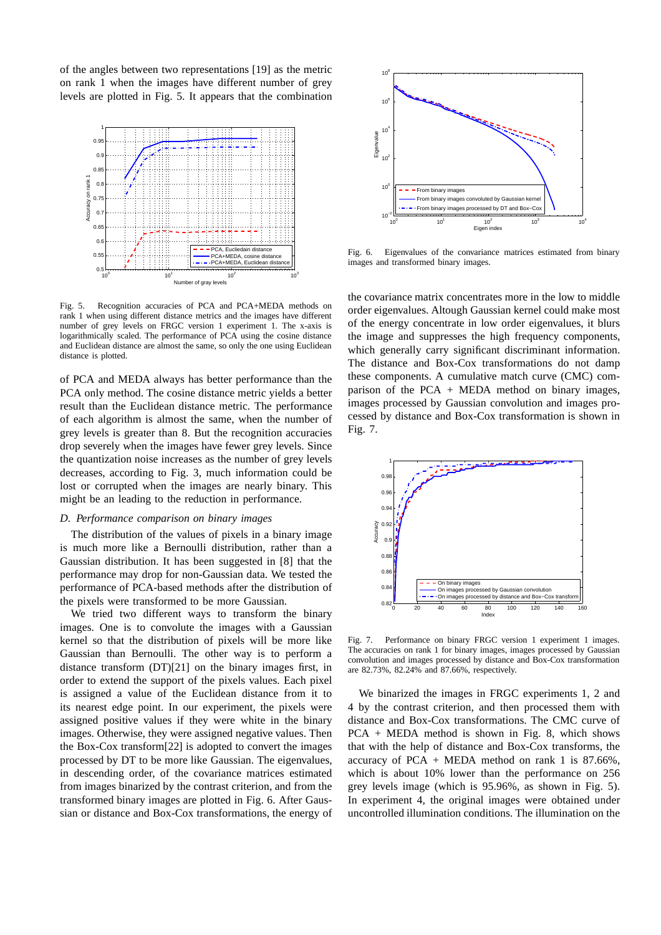of the angles between two representations [19] as the metric on rank 1 when the images have different number of grey levels are plotted in Fig. 5. It appears that the combination



Fig. 5. Recognition accuracies of PCA and PCA+MEDA methods on rank 1 when using different distance metrics and the images have different number of grey levels on FRGC version 1 experiment 1. The x-axis is logarithmically scaled. The performance of PCA using the cosine distance and Euclidean distance are almost the same, so only the one using Euclidean distance is plotted.

of PCA and MEDA always has better performance than the PCA only method. The cosine distance metric yields a better result than the Euclidean distance metric. The performance of each algorithm is almost the same, when the number of grey levels is greater than 8. But the recognition accuracies drop severely when the images have fewer grey levels. Since the quantization noise increases as the number of grey levels decreases, according to Fig. 3, much information could be lost or corrupted when the images are nearly binary. This might be an leading to the reduction in performance.

# *D. Performance comparison on binary images*

The distribution of the values of pixels in a binary image is much more like a Bernoulli distribution, rather than a Gaussian distribution. It has been suggested in [8] that the performance may drop for non-Gaussian data. We tested the performance of PCA-based methods after the distribution of the pixels were transformed to be more Gaussian.

We tried two different ways to transform the binary images. One is to convolute the images with a Gaussian kernel so that the distribution of pixels will be more like Gaussian than Bernoulli. The other way is to perform a distance transform (DT)[21] on the binary images first, in order to extend the support of the pixels values. Each pixel is assigned a value of the Euclidean distance from it to its nearest edge point. In our experiment, the pixels were assigned positive values if they were white in the binary images. Otherwise, they were assigned negative values. Then the Box-Cox transform[22] is adopted to convert the images processed by DT to be more like Gaussian. The eigenvalues, in descending order, of the covariance matrices estimated from images binarized by the contrast criterion, and from the transformed binary images are plotted in Fig. 6. After Gaussian or distance and Box-Cox transformations, the energy of



Fig. 6. Eigenvalues of the convariance matrices estimated from binary images and transformed binary images.

the covariance matrix concentrates more in the low to middle order eigenvalues. Altough Gaussian kernel could make most of the energy concentrate in low order eigenvalues, it blurs the image and suppresses the high frequency components, which generally carry significant discriminant information. The distance and Box-Cox transformations do not damp these components. A cumulative match curve (CMC) comparison of the  $PCA + MEDA$  method on binary images, images processed by Gaussian convolution and images processed by distance and Box-Cox transformation is shown in Fig. 7.



Fig. 7. Performance on binary FRGC version 1 experiment 1 images. The accuracies on rank 1 for binary images, images processed by Gaussian convolution and images processed by distance and Box-Cox transformation are 82.73%, 82.24% and 87.66%, respectively.

We binarized the images in FRGC experiments 1, 2 and 4 by the contrast criterion, and then processed them with distance and Box-Cox transformations. The CMC curve of PCA + MEDA method is shown in Fig. 8, which shows that with the help of distance and Box-Cox transforms, the accuracy of PCA + MEDA method on rank 1 is  $87.66\%$ , which is about 10% lower than the performance on 256 grey levels image (which is 95.96%, as shown in Fig. 5). In experiment 4, the original images were obtained under uncontrolled illumination conditions. The illumination on the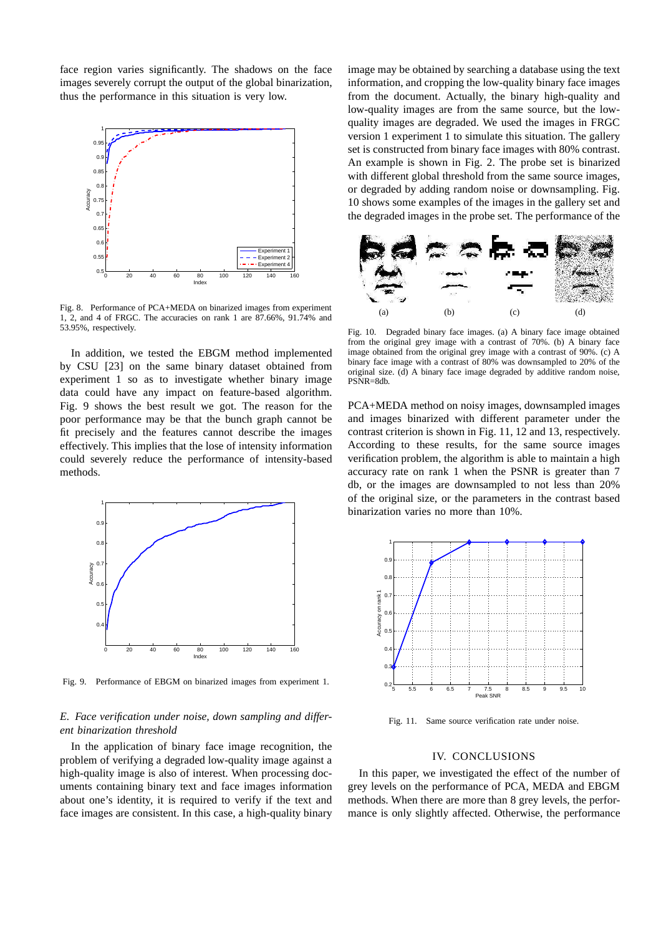face region varies significantly. The shadows on the face images severely corrupt the output of the global binarization, thus the performance in this situation is very low.



Fig. 8. Performance of PCA+MEDA on binarized images from experiment 1, 2, and 4 of FRGC. The accuracies on rank 1 are 87.66%, 91.74% and 53.95%, respectively.

In addition, we tested the EBGM method implemented by CSU [23] on the same binary dataset obtained from experiment 1 so as to investigate whether binary image data could have any impact on feature-based algorithm. Fig. 9 shows the best result we got. The reason for the poor performance may be that the bunch graph cannot be fit precisely and the features cannot describe the images effectively. This implies that the lose of intensity information could severely reduce the performance of intensity-based methods.



Fig. 9. Performance of EBGM on binarized images from experiment 1.

# *E. Face verification under noise, down sampling and different binarization threshold*

In the application of binary face image recognition, the problem of verifying a degraded low-quality image against a high-quality image is also of interest. When processing documents containing binary text and face images information about one's identity, it is required to verify if the text and face images are consistent. In this case, a high-quality binary

image may be obtained by searching a database using the text information, and cropping the low-quality binary face images from the document. Actually, the binary high-quality and low-quality images are from the same source, but the lowquality images are degraded. We used the images in FRGC version 1 experiment 1 to simulate this situation. The gallery set is constructed from binary face images with 80% contrast. An example is shown in Fig. 2. The probe set is binarized with different global threshold from the same source images, or degraded by adding random noise or downsampling. Fig. 10 shows some examples of the images in the gallery set and the degraded images in the probe set. The performance of the



Fig. 10. Degraded binary face images. (a) A binary face image obtained from the original grey image with a contrast of 70%. (b) A binary face image obtained from the original grey image with a contrast of 90%. (c) A binary face image with a contrast of 80% was downsampled to 20% of the original size. (d) A binary face image degraded by additive random noise, PSNR=8db.

PCA+MEDA method on noisy images, downsampled images and images binarized with different parameter under the contrast criterion is shown in Fig. 11, 12 and 13, respectively. According to these results, for the same source images verification problem, the algorithm is able to maintain a high accuracy rate on rank 1 when the PSNR is greater than 7 db, or the images are downsampled to not less than 20% of the original size, or the parameters in the contrast based binarization varies no more than 10%.



Fig. 11. Same source verification rate under noise.

#### IV. CONCLUSIONS

In this paper, we investigated the effect of the number of grey levels on the performance of PCA, MEDA and EBGM methods. When there are more than 8 grey levels, the performance is only slightly affected. Otherwise, the performance